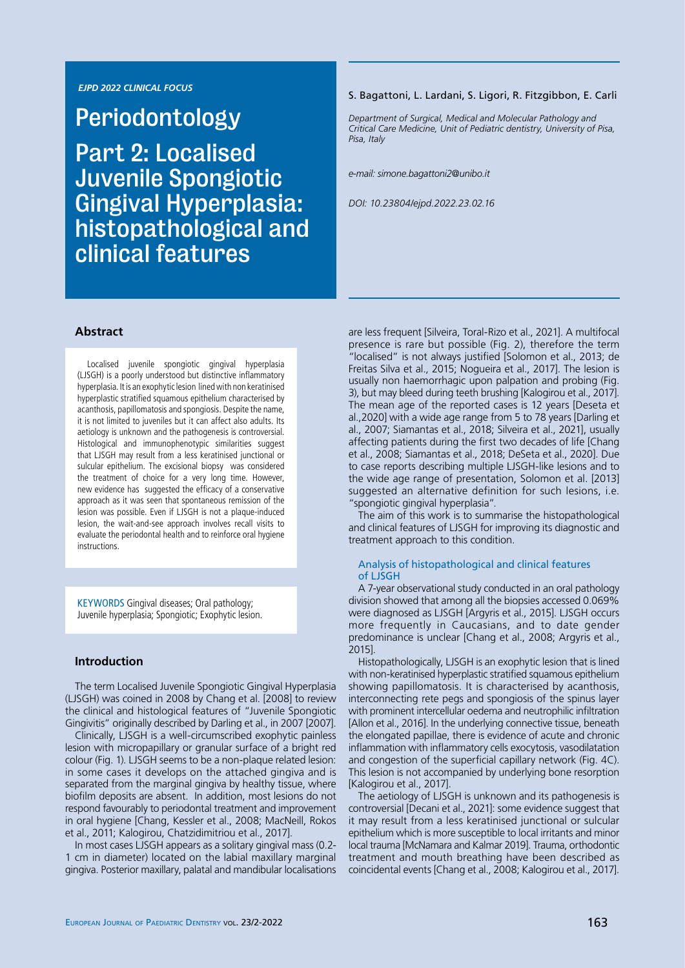### *EJPD 2022 CLINICAL FOCUS*

Periodontology Part 2: Localised Juvenile Spongiotic Gingival Hyperplasia: histopathological and clinical features

#### S. Bagattoni, L. Lardani, S. Ligori, R. Fitzgibbon, E. Carli

*Department of Surgical, Medical and Molecular Pathology and Critical Care Medicine, Unit of Pediatric dentistry, University of Pisa, Pisa, Italy*

*e-mail: simone.bagattoni2@unibo.it*

*DOI: 10.23804/ejpd.2022.23.02.16*

### **Abstract**

Localised juvenile spongiotic gingival hyperplasia (LJSGH) is a poorly understood but distinctive inflammatory hyperplasia. It is an exophytic lesion lined with non keratinised hyperplastic stratified squamous epithelium characterised by acanthosis, papillomatosis and spongiosis. Despite the name, it is not limited to juveniles but it can affect also adults. Its aetiology is unknown and the pathogenesis is controversial. Histological and immunophenotypic similarities suggest that LJSGH may result from a less keratinised junctional or sulcular epithelium. The excisional biopsy was considered the treatment of choice for a very long time. However, new evidence has suggested the efficacy of a conservative approach as it was seen that spontaneous remission of the lesion was possible. Even if LJSGH is not a plaque-induced lesion, the wait-and-see approach involves recall visits to evaluate the periodontal health and to reinforce oral hygiene instructions.

KEYWORDS Gingival diseases; Oral pathology; Juvenile hyperplasia; Spongiotic; Exophytic lesion.

## **Introduction**

The term Localised Juvenile Spongiotic Gingival Hyperplasia (LJSGH) was coined in 2008 by Chang et al. [2008] to review the clinical and histological features of "Juvenile Spongiotic Gingivitis" originally described by Darling et al., in 2007 [2007].

Clinically, LJSGH is a well-circumscribed exophytic painless lesion with micropapillary or granular surface of a bright red colour (Fig. 1). LJSGH seems to be a non-plaque related lesion: in some cases it develops on the attached gingiva and is separated from the marginal gingiva by healthy tissue, where biofilm deposits are absent. In addition, most lesions do not respond favourably to periodontal treatment and improvement in oral hygiene [Chang, Kessler et al., 2008; MacNeill, Rokos et al., 2011; Kalogirou, Chatzidimitriou et al., 2017].

In most cases LJSGH appears as a solitary gingival mass (0.2- 1 cm in diameter) located on the labial maxillary marginal gingiva. Posterior maxillary, palatal and mandibular localisations are less frequent [Silveira, Toral-Rizo et al., 2021]. A multifocal presence is rare but possible (Fig. 2), therefore the term "localised" is not always justified [Solomon et al., 2013; de Freitas Silva et al., 2015; Nogueira et al., 2017]. The lesion is usually non haemorrhagic upon palpation and probing (Fig. 3), but may bleed during teeth brushing [Kalogirou et al., 2017]. The mean age of the reported cases is 12 years [Deseta et al.,2020] with a wide age range from 5 to 78 years [Darling et al., 2007; Siamantas et al., 2018; Silveira et al., 2021], usually affecting patients during the first two decades of life [Chang et al., 2008; Siamantas et al., 2018; DeSeta et al., 2020]. Due to case reports describing multiple LJSGH-like lesions and to the wide age range of presentation, Solomon et al. [2013] suggested an alternative definition for such lesions, i.e. "spongiotic gingival hyperplasia".

The aim of this work is to summarise the histopathological and clinical features of LJSGH for improving its diagnostic and treatment approach to this condition.

#### Analysis of histopathological and clinical features of LJSGH

A 7-year observational study conducted in an oral pathology division showed that among all the biopsies accessed 0.069% were diagnosed as LJSGH [Argyris et al., 2015]. LJSGH occurs more frequently in Caucasians, and to date gender predominance is unclear [Chang et al., 2008; Argyris et al., 2015].

Histopathologically, LJSGH is an exophytic lesion that is lined with non-keratinised hyperplastic stratified squamous epithelium showing papillomatosis. It is characterised by acanthosis, interconnecting rete pegs and spongiosis of the spinus layer with prominent intercellular oedema and neutrophilic infiltration [Allon et al., 2016]. In the underlying connective tissue, beneath the elongated papillae, there is evidence of acute and chronic inflammation with inflammatory cells exocytosis, vasodilatation and congestion of the superficial capillary network (Fig. 4C). This lesion is not accompanied by underlying bone resorption [Kalogirou et al., 2017].

The aetiology of LJSGH is unknown and its pathogenesis is controversial [Decani et al., 2021]: some evidence suggest that it may result from a less keratinised junctional or sulcular epithelium which is more susceptible to local irritants and minor local trauma [McNamara and Kalmar 2019]. Trauma, orthodontic treatment and mouth breathing have been described as coincidental events [Chang et al., 2008; Kalogirou et al., 2017].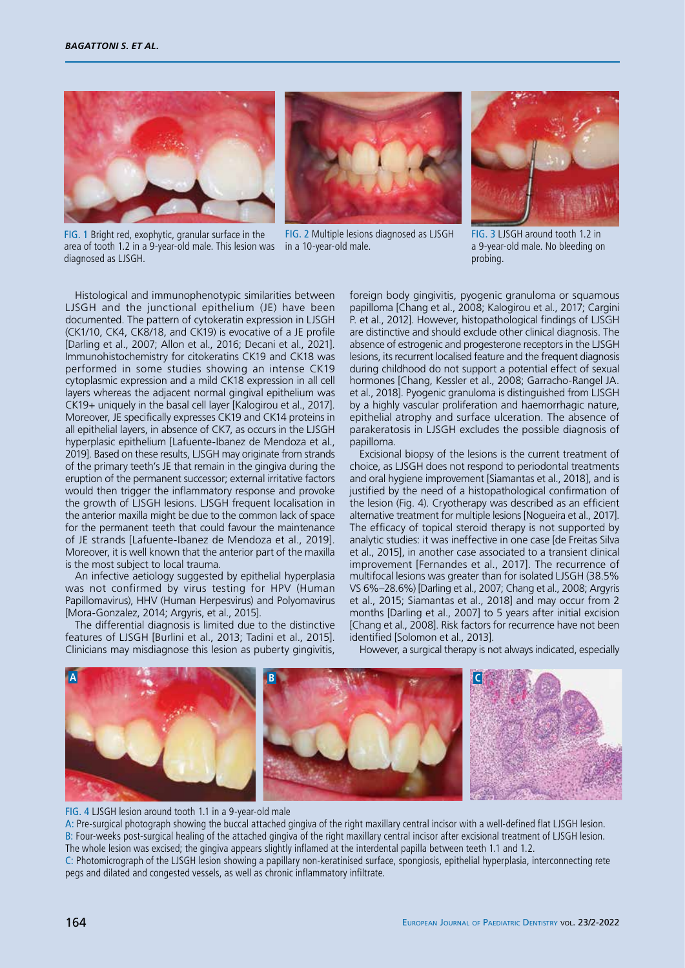





FIG. 1 Bright red, exophytic, granular surface in the area of tooth 1.2 in a 9-year-old male. This lesion was in a 10-year-old male. diagnosed as LJSGH.

FIG. 2 Multiple lesions diagnosed as LJSGH

FIG. 3 LJSGH around tooth 1.2 in a 9-year-old male. No bleeding on probing.

Histological and immunophenotypic similarities between LJSGH and the junctional epithelium (JE) have been documented. The pattern of cytokeratin expression in LJSGH (CK1/10, CK4, CK8/18, and CK19) is evocative of a JE profile [Darling et al., 2007; Allon et al., 2016; Decani et al., 2021]. Immunohistochemistry for citokeratins CK19 and CK18 was performed in some studies showing an intense CK19 cytoplasmic expression and a mild CK18 expression in all cell layers whereas the adjacent normal gingival epithelium was CK19+ uniquely in the basal cell layer [Kalogirou et al., 2017]. Moreover, JE specifically expresses CK19 and CK14 proteins in all epithelial layers, in absence of CK7, as occurs in the LJSGH hyperplasic epithelium [Lafuente-Ibanez de Mendoza et al., 2019]. Based on these results, LJSGH may originate from strands of the primary teeth's JE that remain in the gingiva during the eruption of the permanent successor; external irritative factors would then trigger the inflammatory response and provoke the growth of LJSGH lesions. LJSGH frequent localisation in the anterior maxilla might be due to the common lack of space for the permanent teeth that could favour the maintenance of JE strands [Lafuente-Ibanez de Mendoza et al., 2019]. Moreover, it is well known that the anterior part of the maxilla is the most subject to local trauma.

An infective aetiology suggested by epithelial hyperplasia was not confirmed by virus testing for HPV (Human Papillomavirus), HHV (Human Herpesvirus) and Polyomavirus [Mora-Gonzalez, 2014; Argyris, et al., 2015].

The differential diagnosis is limited due to the distinctive features of LJSGH [Burlini et al., 2013; Tadini et al., 2015]. Clinicians may misdiagnose this lesion as puberty gingivitis, foreign body gingivitis, pyogenic granuloma or squamous papilloma [Chang et al., 2008; Kalogirou et al., 2017; Cargini P. et al., 2012]. However, histopathological findings of LJSGH are distinctive and should exclude other clinical diagnosis. The absence of estrogenic and progesterone receptors in the LJSGH lesions, its recurrent localised feature and the frequent diagnosis during childhood do not support a potential effect of sexual hormones [Chang, Kessler et al., 2008; Garracho-Rangel JA. et al., 2018]. Pyogenic granuloma is distinguished from LJSGH by a highly vascular proliferation and haemorrhagic nature, epithelial atrophy and surface ulceration. The absence of parakeratosis in LJSGH excludes the possible diagnosis of papilloma.

Excisional biopsy of the lesions is the current treatment of choice, as LJSGH does not respond to periodontal treatments and oral hygiene improvement [Siamantas et al., 2018], and is justified by the need of a histopathological confirmation of the lesion (Fig. 4). Cryotherapy was described as an efficient alternative treatment for multiple lesions [Nogueira et al., 2017]. The efficacy of topical steroid therapy is not supported by analytic studies: it was ineffective in one case [de Freitas Silva et al., 2015], in another case associated to a transient clinical improvement [Fernandes et al., 2017]. The recurrence of multifocal lesions was greater than for isolated LJSGH (38.5% VS 6%–28.6%) [Darling et al., 2007; Chang et al., 2008; Argyris et al., 2015; Siamantas et al., 2018] and may occur from 2 months [Darling et al., 2007] to 5 years after initial excision [Chang et al., 2008]. Risk factors for recurrence have not been identified [Solomon et al., 2013].

However, a surgical therapy is not always indicated, especially



FIG. 4 LJSGH lesion around tooth 1.1 in a 9-year-old male

A: Pre-surgical photograph showing the buccal attached gingiva of the right maxillary central incisor with a well-defined flat LJSGH lesion. B: Four-weeks post-surgical healing of the attached gingiva of the right maxillary central incisor after excisional treatment of LJSGH lesion. The whole lesion was excised; the gingiva appears slightly inflamed at the interdental papilla between teeth 1.1 and 1.2.

C: Photomicrograph of the LJSGH lesion showing a papillary non-keratinised surface, spongiosis, epithelial hyperplasia, interconnecting rete pegs and dilated and congested vessels, as well as chronic inflammatory infiltrate.